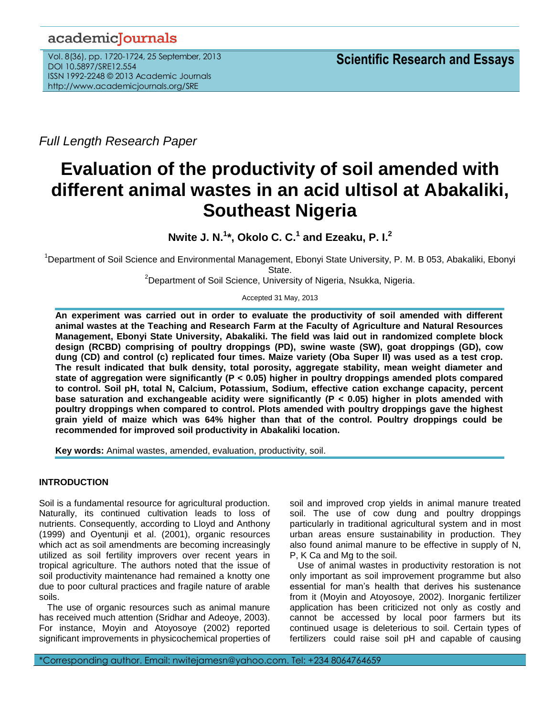# academicJournals

Vol. 8(36), pp. 1720-1724, 25 September, 2013 DOI 10.5897/SRE12.554 ISSN 1992-2248 © 2013 Academic Journals http://www.academicjournals.org/SRE

*Full Length Research Paper*

# **Evaluation of the productivity of soil amended with different animal wastes in an acid ultisol at Abakaliki, Southeast Nigeria**

**Nwite J. N.<sup>1</sup> \*, Okolo C. C. 1 and Ezeaku, P. I. 2**

<sup>1</sup>Department of Soil Science and Environmental Management, Ebonyi State University, P. M. B 053, Abakaliki, Ebonyi State.

<sup>2</sup>Department of Soil Science, University of Nigeria, Nsukka, Nigeria.

Accepted 31 May, 2013

**An experiment was carried out in order to evaluate the productivity of soil amended with different animal wastes at the Teaching and Research Farm at the Faculty of Agriculture and Natural Resources Management, Ebonyi State University, Abakaliki. The field was laid out in randomized complete block design (RCBD) comprising of poultry droppings (PD), swine waste (SW), goat droppings (GD), cow dung (CD) and control (c) replicated four times. Maize variety (Oba Super II) was used as a test crop. The result indicated that bulk density, total porosity, aggregate stability, mean weight diameter and state of aggregation were significantly (P < 0.05) higher in poultry droppings amended plots compared to control. Soil pH, total N, Calcium, Potassium, Sodium, effective cation exchange capacity, percent base saturation and exchangeable acidity were significantly (P < 0.05) higher in plots amended with poultry droppings when compared to control. Plots amended with poultry droppings gave the highest grain yield of maize which was 64% higher than that of the control. Poultry droppings could be recommended for improved soil productivity in Abakaliki location.**

**Key words:** Animal wastes, amended, evaluation, productivity, soil.

# **INTRODUCTION**

Soil is a fundamental resource for agricultural production. Naturally, its continued cultivation leads to loss of nutrients. Consequently, according to Lloyd and Anthony (1999) and Oyentunji et al. (2001), organic resources which act as soil amendments are becoming increasingly utilized as soil fertility improvers over recent years in tropical agriculture. The authors noted that the issue of soil productivity maintenance had remained a knotty one due to poor cultural practices and fragile nature of arable soils.

The use of organic resources such as animal manure has received much attention (Sridhar and Adeoye, 2003). For instance, Moyin and Atoyosoye (2002) reported significant improvements in physicochemical properties of soil and improved crop yields in animal manure treated soil. The use of cow dung and poultry droppings particularly in traditional agricultural system and in most urban areas ensure sustainability in production. They also found animal manure to be effective in supply of N, P, K Ca and Mg to the soil.

Use of animal wastes in productivity restoration is not only important as soil improvement programme but also essential for man's health that derives his sustenance from it (Moyin and Atoyosoye, 2002). Inorganic fertilizer application has been criticized not only as costly and cannot be accessed by local poor farmers but its continued usage is deleterious to soil. Certain types of fertilizers could raise soil pH and capable of causing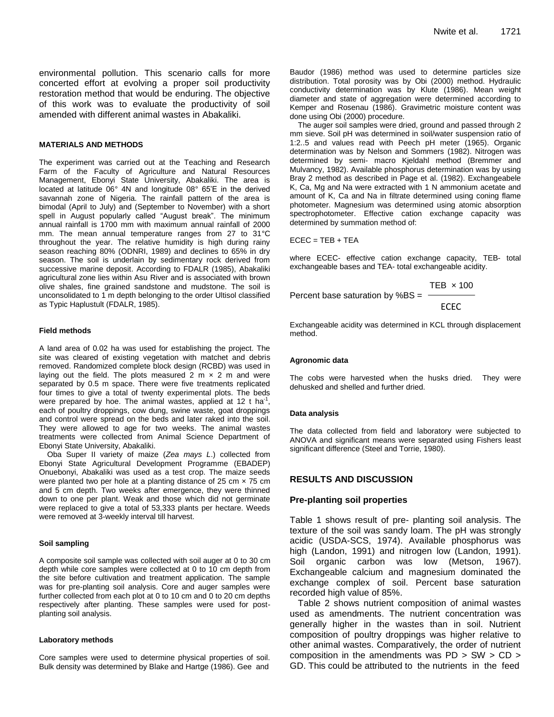environmental pollution. This scenario calls for more concerted effort at evolving a proper soil productivity restoration method that would be enduring. The objective of this work was to evaluate the productivity of soil amended with different animal wastes in Abakaliki.

#### **MATERIALS AND METHODS**

The experiment was carried out at the Teaching and Research Farm of the Faculty of Agriculture and Natural Resources Management, Ebonyi State University, Abakaliki. The area is located at latitude 06° 4N and longitude 08° 65'E in the derived savannah zone of Nigeria. The rainfall pattern of the area is bimodal (April to July) and (September to November) with a short spell in August popularly called "August break". The minimum annual rainfall is 1700 mm with maximum annual rainfall of 2000 mm. The mean annual temperature ranges from 27 to 31°C throughout the year. The relative humidity is high during rainy season reaching 80% (ODNRI, 1989) and declines to 65% in dry season. The soil is underlain by sedimentary rock derived from successive marine deposit. According to FDALR (1985), Abakaliki agricultural zone lies within Asu River and is associated with brown olive shales, fine grained sandstone and mudstone. The soil is unconsolidated to 1 m depth belonging to the order Ultisol classified as Typic Haplustult (FDALR, 1985).

#### **Field methods**

A land area of 0.02 ha was used for establishing the project. The site was cleared of existing vegetation with matchet and debris removed. Randomized complete block design (RCBD) was used in laying out the field. The plots measured 2 m  $\times$  2 m and were separated by 0.5 m space. There were five treatments replicated four times to give a total of twenty experimental plots. The beds were prepared by hoe. The animal wastes, applied at 12 t ha<sup>-1</sup>, each of poultry droppings, cow dung, swine waste, goat droppings and control were spread on the beds and later raked into the soil. They were allowed to age for two weeks. The animal wastes treatments were collected from Animal Science Department of Ebonyi State University, Abakaliki.

Oba Super II variety of maize (*Zea mays L*.) collected from Ebonyi State Agricultural Development Programme (EBADEP) Onuebonyi, Abakaliki was used as a test crop. The maize seeds were planted two per hole at a planting distance of 25 cm × 75 cm and 5 cm depth. Two weeks after emergence, they were thinned down to one per plant. Weak and those which did not germinate were replaced to give a total of 53,333 plants per hectare. Weeds were removed at 3-weekly interval till harvest.

#### **Soil sampling**

A composite soil sample was collected with soil auger at 0 to 30 cm depth while core samples were collected at 0 to 10 cm depth from the site before cultivation and treatment application. The sample was for pre-planting soil analysis. Core and auger samples were further collected from each plot at 0 to 10 cm and 0 to 20 cm depths respectively after planting. These samples were used for postplanting soil analysis.

#### **Laboratory methods**

Core samples were used to determine physical properties of soil. Bulk density was determined by Blake and Hartge (1986). Gee and

Baudor (1986) method was used to determine particles size distribution. Total porosity was by Obi (2000) method. Hydraulic conductivity determination was by Klute (1986). Mean weight diameter and state of aggregation were determined according to Kemper and Rosenau (1986). Gravimetric moisture content was done using Obi (2000) procedure.

The auger soil samples were dried, ground and passed through 2 mm sieve. Soil pH was determined in soil/water suspension ratio of 1:2..5 and values read with Peech pH meter (1965). Organic determination was by Nelson and Sommers (1982). Nitrogen was determined by semi- macro Kjeldahl method (Bremmer and Mulvancy, 1982). Available phosphorus determination was by using Bray 2 method as described in Page et al. (1982). Exchangeabele K, Ca, Mg and Na were extracted with 1 N ammonium acetate and amount of K, Ca and Na in filtrate determined using coning flame photometer. Magnesium was determined using atomic absorption spectrophotometer. Effective cation exchange capacity was determined by summation method of:

$$
\mathsf{ECEC} = \mathsf{TEB} + \mathsf{TEA}
$$

where ECEC- effective cation exchange capacity, TEB- total exchangeable bases and TEA- total exchangeable acidity.

Percent base saturation by %BS = 
$$
\frac{TEB \times 100}{ECEC}
$$

Exchangeable acidity was determined in KCL through displacement method.

#### **Agronomic data**

The cobs were harvested when the husks dried. They were dehusked and shelled and further dried.

#### **Data analysis**

The data collected from field and laboratory were subjected to ANOVA and significant means were separated using Fishers least significant difference (Steel and Torrie, 1980).

## **RESULTS AND DISCUSSION**

#### **Pre-planting soil properties**

Table 1 shows result of pre- planting soil analysis. The texture of the soil was sandy loam. The pH was strongly acidic (USDA-SCS, 1974). Available phosphorus was high (Landon, 1991) and nitrogen low (Landon, 1991). Soil organic carbon was low (Metson, 1967). Exchangeable calcium and magnesium dominated the exchange complex of soil. Percent base saturation recorded high value of 85%.

Table 2 shows nutrient composition of animal wastes used as amendments. The nutrient concentration was generally higher in the wastes than in soil. Nutrient composition of poultry droppings was higher relative to other animal wastes. Comparatively, the order of nutrient composition in the amendments was  $PD > SW > CD >$ GD. This could be attributed to the nutrients in the feed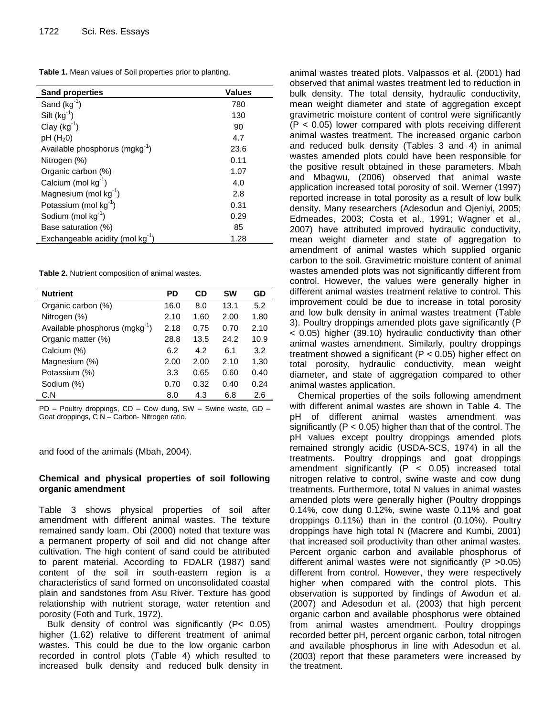| Table 1. Mean values of Soil properties prior to planting. |  |  |
|------------------------------------------------------------|--|--|
|------------------------------------------------------------|--|--|

| <b>Sand properties</b>                     | <b>Values</b> |
|--------------------------------------------|---------------|
| Sand $(kg^{-1})$                           | 780           |
| Silt $(kg^{-1})$                           | 130           |
| Clay $(kg^{-1})$                           | 90            |
| $pH(H_20)$                                 | 4.7           |
| Available phosphorus (mgkg <sup>-1</sup> ) | 23.6          |
| Nitrogen (%)                               | 0.11          |
| Organic carbon (%)                         | 1.07          |
| Calcium (mol $kg^{-1}$ )                   | 4.0           |
| Magnesium (mol $kg^{-1}$ )                 | 2.8           |
| Potassium (mol kg-1)                       | 0.31          |
| Sodium (mol $kg^{-1}$ )                    | 0.29          |
| Base saturation (%)                        | 85            |
| Exchangeable acidity (mol $kg^{-1}$ )      | 1.28          |

**Table 2.** Nutrient composition of animal wastes.

| <b>Nutrient</b>                            | PD   | CD   | SW   | GD   |
|--------------------------------------------|------|------|------|------|
| Organic carbon (%)                         | 16.0 | 8.0  | 13.1 | 5.2  |
| Nitrogen (%)                               | 2.10 | 1.60 | 2.00 | 1.80 |
| Available phosphorus (mgkg <sup>-1</sup> ) | 2.18 | 0.75 | 0.70 | 2.10 |
| Organic matter (%)                         | 28.8 | 13.5 | 24.2 | 10.9 |
| Calcium (%)                                | 6.2  | 4.2  | 6.1  | 3.2  |
| Magnesium (%)                              | 2.00 | 2.00 | 2.10 | 1.30 |
| Potassium (%)                              | 3.3  | 0.65 | 0.60 | 0.40 |
| Sodium (%)                                 | 0.70 | 0.32 | 0.40 | 0.24 |
| C.N                                        | 8.0  | 4.3  | 6.8  | 2.6  |

PD – Poultry droppings, CD – Cow dung, SW – Swine waste, GD – Goat droppings, C N – Carbon- Nitrogen ratio.

and food of the animals (Mbah, 2004).

# **Chemical and physical properties of soil following organic amendment**

Table 3 shows physical properties of soil after amendment with different animal wastes. The texture remained sandy loam. Obi (2000) noted that texture was a permanent property of soil and did not change after cultivation. The high content of sand could be attributed to parent material. According to FDALR (1987) sand content of the soil in south-eastern region is a characteristics of sand formed on unconsolidated coastal plain and sandstones from Asu River. Texture has good relationship with nutrient storage, water retention and porosity (Foth and Turk, 1972).

Bulk density of control was significantly (P< 0.05) higher (1.62) relative to different treatment of animal wastes. This could be due to the low organic carbon recorded in control plots (Table 4) which resulted to increased bulk density and reduced bulk density in

animal wastes treated plots. Valpassos et al. (2001) had observed that animal wastes treatment led to reduction in bulk density. The total density, hydraulic conductivity, mean weight diameter and state of aggregation except gravimetric moisture content of control were significantly (P < 0.05) lower compared with plots receiving different animal wastes treatment. The increased organic carbon and reduced bulk density (Tables 3 and 4) in animal wastes amended plots could have been responsible for the positive result obtained in these parameters. Mbah and Mbagwu, (2006) observed that animal waste application increased total porosity of soil. Werner (1997) reported increase in total porosity as a result of low bulk density. Many researchers (Adesodun and Ojeniyi, 2005; Edmeades, 2003; Costa et al., 1991; Wagner et al., 2007) have attributed improved hydraulic conductivity, mean weight diameter and state of aggregation to amendment of animal wastes which supplied organic carbon to the soil. Gravimetric moisture content of animal wastes amended plots was not significantly different from control. However, the values were generally higher in different animal wastes treatment relative to control. This improvement could be due to increase in total porosity and low bulk density in animal wastes treatment (Table 3). Poultry droppings amended plots gave significantly (P < 0.05) higher (39.10) hydraulic conductivity than other animal wastes amendment. Similarly, poultry droppings treatment showed a significant (P < 0.05) higher effect on total porosity, hydraulic conductivity, mean weight diameter, and state of aggregation compared to other animal wastes application.

Chemical properties of the soils following amendment with different animal wastes are shown in Table 4. The pH of different animal wastes amendment was significantly ( $P < 0.05$ ) higher than that of the control. The pH values except poultry droppings amended plots remained strongly acidic (USDA-SCS, 1974) in all the treatments. Poultry droppings and goat droppings amendment significantly  $(P < 0.05)$  increased total nitrogen relative to control, swine waste and cow dung treatments. Furthermore, total N values in animal wastes amended plots were generally higher (Poultry droppings 0.14%, cow dung 0.12%, swine waste 0.11% and goat droppings 0.11%) than in the control (0.10%). Poultry droppings have high total N (Macrere and Kumbi, 2001) that increased soil productivity than other animal wastes. Percent organic carbon and available phosphorus of different animal wastes were not significantly (P >0.05) different from control. However, they were respectively higher when compared with the control plots. This observation is supported by findings of Awodun et al. (2007) and Adesodun et al. (2003) that high percent organic carbon and available phosphorus were obtained from animal wastes amendment. Poultry droppings recorded better pH, percent organic carbon, total nitrogen and available phosphorus in line with Adesodun et al. (2003) report that these parameters were increased by the treatment.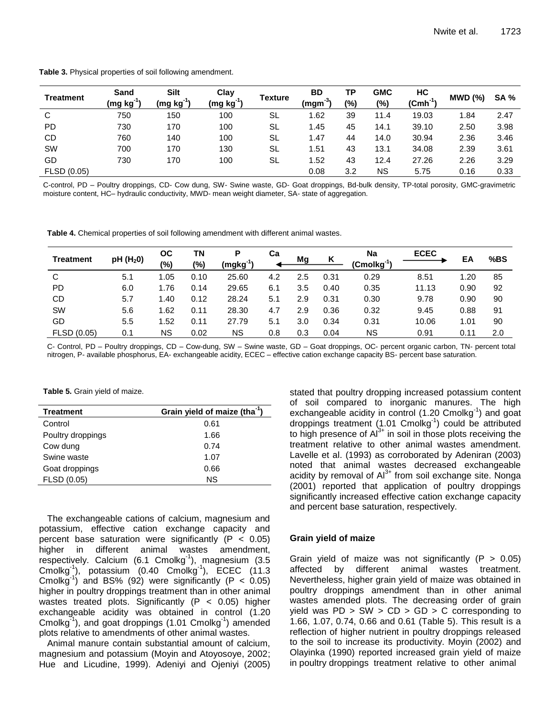|  | Table 3. Physical properties of soil following amendment. |
|--|-----------------------------------------------------------|
|--|-----------------------------------------------------------|

|                  | Sand        | Silt                   | Clay        |           | <b>BD</b>   | ΤP  | <b>GMC</b> | НC                   |         |             |
|------------------|-------------|------------------------|-------------|-----------|-------------|-----|------------|----------------------|---------|-------------|
| <b>Treatment</b> | $(mg kg-1)$ | (mg kg <sup>-1</sup> ) | $(mg kg-1)$ | Texture   | -3.<br>(mgm | (%) | (%)        | (Cmh <sup>-1</sup> ) | MWD (%) | <b>SA %</b> |
| C                | 750         | 150                    | 100         | <b>SL</b> | 1.62        | 39  | 11.4       | 19.03                | 1.84    | 2.47        |
| <b>PD</b>        | 730         | 170                    | 100         | SL        | 1.45        | 45  | 14.1       | 39.10                | 2.50    | 3.98        |
| <b>CD</b>        | 760         | 140                    | 100         | -SL       | 1.47        | 44  | 14.0       | 30.94                | 2.36    | 3.46        |
| SW               | 700         | 170                    | 130         | SL        | 1.51        | 43  | 13.1       | 34.08                | 2.39    | 3.61        |
| GD               | 730         | 170                    | 100         | -SL       | 1.52        | 43  | 12.4       | 27.26                | 2.26    | 3.29        |
| FLSD (0.05)      |             |                        |             |           | 0.08        | 3.2 | ΝS         | 5.75                 | 0.16    | 0.33        |

C-control, PD – Poultry droppings, CD- Cow dung, SW- Swine waste, GD- Goat droppings, Bd-bulk density, TP-total porosity, GMC-gravimetric moisture content, HC– hydraulic conductivity, MWD- mean weight diameter, SA- state of aggregation.

**Table 4.** Chemical properties of soil following amendment with different animal wastes.

| <b>Treatment</b> | pH(H <sub>2</sub> 0) | ОС<br>(%) | ΤN<br>(%) | Ρ<br>$(mgkg^{-1})$ | Сa  | Mg  | K    | <b>Na</b><br>(Cmolkg <sup>-1</sup> ) | <b>ECEC</b> | ΕA   | %BS |
|------------------|----------------------|-----------|-----------|--------------------|-----|-----|------|--------------------------------------|-------------|------|-----|
| C                | 5.1                  | 1.05      | 0.10      | 25.60              | 4.2 | 2.5 | 0.31 | 0.29                                 | 8.51        | 1.20 | 85  |
| <b>PD</b>        | 6.0                  | 1.76      | 0.14      | 29.65              | 6.1 | 3.5 | 0.40 | 0.35                                 | 11.13       | 0.90 | 92  |
| CD               | 5.7                  | 1.40      | 0.12      | 28.24              | 5.1 | 2.9 | 0.31 | 0.30                                 | 9.78        | 0.90 | 90  |
| <b>SW</b>        | 5.6                  | 1.62      | 0.11      | 28.30              | 4.7 | 2.9 | 0.36 | 0.32                                 | 9.45        | 0.88 | 91  |
| GD               | 5.5                  | 1.52      | 0.11      | 27.79              | 5.1 | 3.0 | 0.34 | 0.31                                 | 10.06       | 1.01 | 90  |
| FLSD (0.05)      | 0.1                  | ΝS        | 0.02      | ΝS                 | 0.8 | 0.3 | 0.04 | ΝS                                   | 0.91        | 0.11 | 2.0 |

C- Control, PD – Poultry droppings, CD – Cow-dung, SW – Swine waste, GD – Goat droppings, OC- percent organic carbon, TN- percent total nitrogen, P- available phosphorus, EA- exchangeable acidity, ECEC – effective cation exchange capacity BS- percent base saturation.

**Table 5.** Grain yield of maize.

| <b>Treatment</b>  | Grain yield of maize (tha <sup>-1</sup> ) |
|-------------------|-------------------------------------------|
| Control           | 0.61                                      |
| Poultry droppings | 1.66                                      |
| Cow dung          | 0.74                                      |
| Swine waste       | 1.07                                      |
| Goat droppings    | 0.66                                      |
| FLSD (0.05)       | ΝS                                        |

The exchangeable cations of calcium, magnesium and potassium, effective cation exchange capacity and percent base saturation were significantly ( $P < 0.05$ ) higher in different animal wastes amendment, respectively. Calcium (6.1 Cmolkg<sup>-1</sup>), magnesium (3.5 Cmolkg<sup>-1</sup>), potassium (0.40 Cmolkg<sup>-1</sup>), ECEC (11.3 Cmolkg<sup>-1</sup>) and BS% (92) were significantly (P <  $0.05$ ) higher in poultry droppings treatment than in other animal wastes treated plots. Significantly  $(P < 0.05)$  higher exchangeable acidity was obtained in control (1.20 Cmolkg<sup>-1</sup>), and goat droppings (1.01 Cmolkg<sup>-1</sup>) amended plots relative to amendments of other animal wastes.

Animal manure contain substantial amount of calcium, magnesium and potassium (Moyin and Atoyosoye, 2002; Hue and Licudine, 1999). Adeniyi and Ojeniyi (2005) stated that poultry dropping increased potassium content of soil compared to inorganic manures. The high exchangeable acidity in control (1.20 Cmolkg<sup>-1</sup>) and goat droppings treatment (1.01 Cmolkg<sup>-1</sup>) could be attributed to high presence of  $Al^{3+}$  in soil in those plots receiving the treatment relative to other animal wastes amendment. Lavelle et al. (1993) as corroborated by Adeniran (2003) noted that animal wastes decreased exchangeable acidity by removal of Al<sup>3+</sup> from soil exchange site. Nonga (2001) reported that application of poultry droppings significantly increased effective cation exchange capacity and percent base saturation, respectively.

### **Grain yield of maize**

Grain yield of maize was not significantly  $(P > 0.05)$ affected by different animal wastes treatment. Nevertheless, higher grain yield of maize was obtained in poultry droppings amendment than in other animal wastes amended plots. The decreasing order of grain yield was  $PD > SW > CD > GD > C$  corresponding to 1.66, 1.07, 0.74, 0.66 and 0.61 (Table 5). This result is a reflection of higher nutrient in poultry droppings released to the soil to increase its productivity. Moyin (2002) and Olayinka (1990) reported increased grain yield of maize in poultry droppings treatment relative to other animal